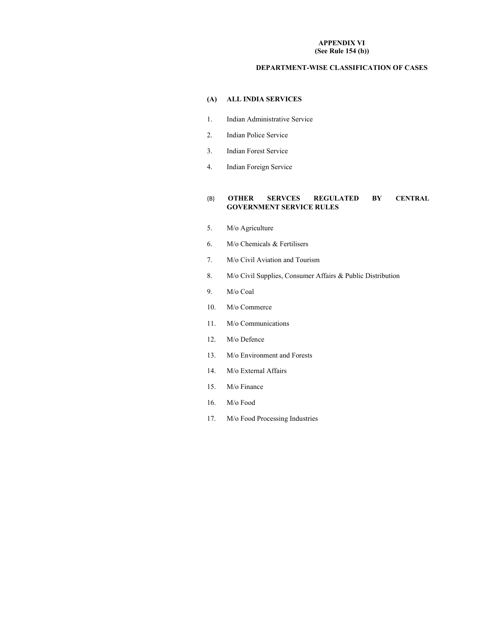## APPENDIX VI (See Rule 154 (b))

# DEPARTMENT-WISE CLASSIFICATION OF CASES

# (A) ALL INDIA SERVICES

- 1. Indian Administrative Service
- 2. Indian Police Service
- 3. Indian Forest Service
- 4. Indian Foreign Service

#### (B) OTHER SERVCES REGULATED BY CENTRAL GOVERNMENT SERVICE RULES

- 5. M/o Agriculture
- 6. M/o Chemicals & Fertilisers
- 7. M/o Civil Aviation and Tourism
- 8. M/o Civil Supplies, Consumer Affairs & Public Distribution
- 9. M/o Coal
- 10. M/o Commerce
- 11. M/o Communications
- 12. M/o Defence
- 13. M/o Environment and Forests
- 14. M/o External Affairs
- 15. M/o Finance
- 16. M/o Food
- 17. M/o Food Processing Industries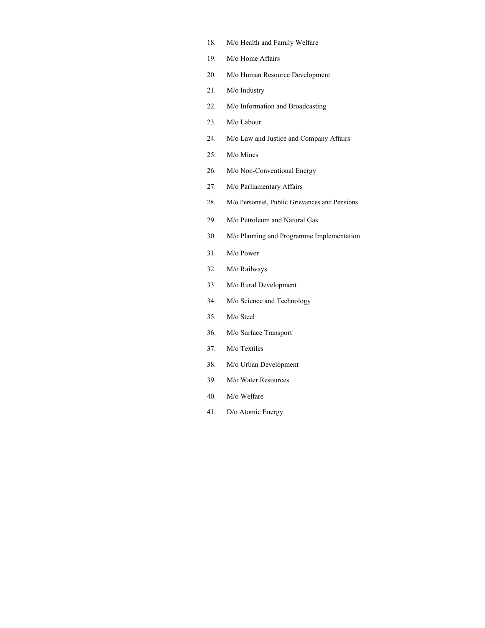- 18. M/o Health and Family Welfare
- 19. M/o Home Affairs
- 20. M/o Human Resource Development
- 21. M/o Industry
- 22. M/o Information and Broadcasting
- 23. M/o Labour
- 24. M/o Law and Justice and Company Affairs
- 25. M/o Mines
- 26. M/o Non-Conventional Energy
- 27. M/o Parliamentary Affairs
- 28. M/o Personnel, Public Grievances and Pensions
- 29. M/o Petroleum and Natural Gas
- 30. M/o Planning and Programme Implementation
- 31. M/o Power
- 32. M/o Railways
- 33. M/o Rural Development
- 34. M/o Science and Technology
- 35. M/o Steel
- 36. M/o Surface Transport
- 37. M/o Textiles
- 38. M/o Urban Development
- 39. M/o Water Resources
- 40. M/o Welfare
- 41. D/o Atomic Energy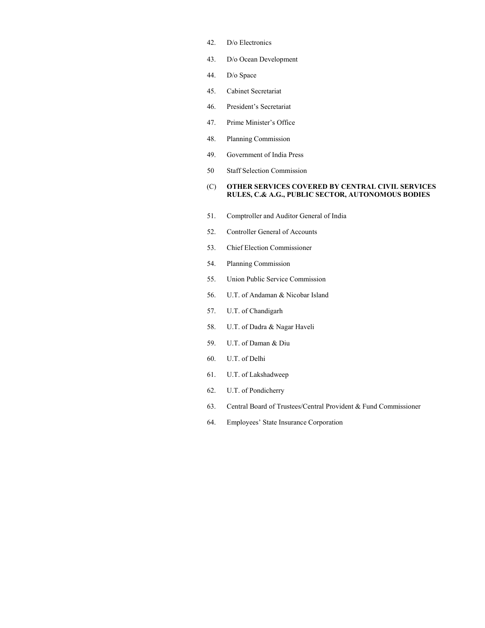- 42. D/o Electronics
- 43. D/o Ocean Development
- 44. D/o Space
- 45. Cabinet Secretariat
- 46. President's Secretariat
- 47. Prime Minister's Office
- 48. Planning Commission
- 49. Government of India Press
- 50 Staff Selection Commission

## (C) OTHER SERVICES COVERED BY CENTRAL CIVIL SERVICES RULES, C.& A.G., PUBLIC SECTOR, AUTONOMOUS BODIES

- 51. Comptroller and Auditor General of India
- 52. Controller General of Accounts
- 53. Chief Election Commissioner
- 54. Planning Commission
- 55. Union Public Service Commission
- 56. U.T. of Andaman & Nicobar Island
- 57. U.T. of Chandigarh
- 58. U.T. of Dadra & Nagar Haveli
- 59. U.T. of Daman & Diu
- 60. U.T. of Delhi
- 61. U.T. of Lakshadweep
- 62. U.T. of Pondicherry
- 63. Central Board of Trustees/Central Provident & Fund Commissioner
- 64. Employees' State Insurance Corporation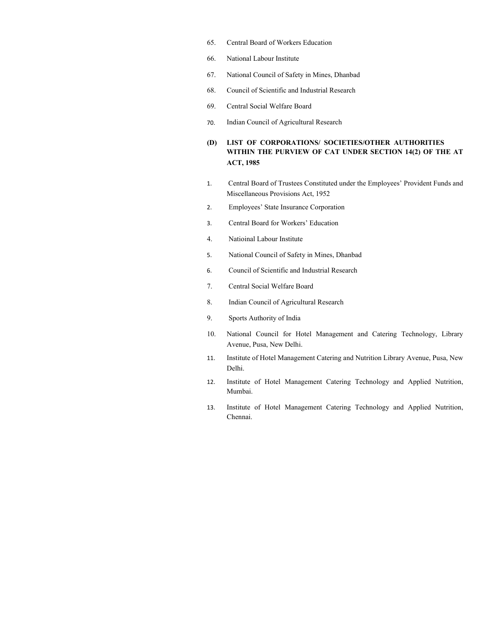- 65. Central Board of Workers Education
- 66. National Labour Institute
- 67. National Council of Safety in Mines, Dhanbad
- 68. Council of Scientific and Industrial Research
- 69. Central Social Welfare Board
- 70. Indian Council of Agricultural Research
- (D) LIST OF CORPORATIONS/ SOCIETIES/OTHER AUTHORITIES WITHIN THE PURVIEW OF CAT UNDER SECTION 14(2) OF THE AT ACT, 1985
- 1. Central Board of Trustees Constituted under the Employees' Provident Funds and Miscellaneous Provisions Act, 1952
- 2. Employees' State Insurance Corporation
- 3. Central Board for Workers' Education
- 4. Natioinal Labour Institute
- 5. National Council of Safety in Mines, Dhanbad
- 6. Council of Scientific and Industrial Research
- 7. Central Social Welfare Board
- 8. Indian Council of Agricultural Research
- 9. Sports Authority of India
- 10. National Council for Hotel Management and Catering Technology, Library Avenue, Pusa, New Delhi.
- 11. Institute of Hotel Management Catering and Nutrition Library Avenue, Pusa, New Delhi.
- 12. Institute of Hotel Management Catering Technology and Applied Nutrition, Mumbai.
- 13. Institute of Hotel Management Catering Technology and Applied Nutrition, Chennai.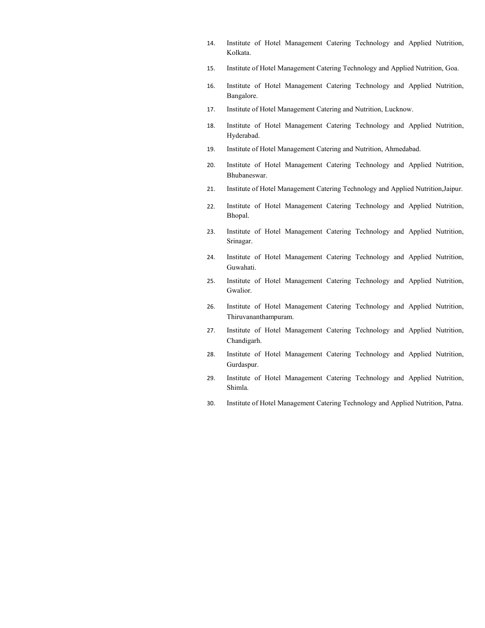- 14. Institute of Hotel Management Catering Technology and Applied Nutrition, Kolkata.
- 15. Institute of Hotel Management Catering Technology and Applied Nutrition, Goa.
- 16. Institute of Hotel Management Catering Technology and Applied Nutrition, Bangalore.
- 17. Institute of Hotel Management Catering and Nutrition, Lucknow.
- 18. Institute of Hotel Management Catering Technology and Applied Nutrition, Hyderabad.
- 19. Institute of Hotel Management Catering and Nutrition, Ahmedabad.
- 20. Institute of Hotel Management Catering Technology and Applied Nutrition, Bhubaneswar.
- 21. Institute of Hotel Management Catering Technology and Applied Nutrition,Jaipur.
- 22. Institute of Hotel Management Catering Technology and Applied Nutrition, Bhopal.
- 23. Institute of Hotel Management Catering Technology and Applied Nutrition, Srinagar.
- 24. Institute of Hotel Management Catering Technology and Applied Nutrition, Guwahati.
- 25. Institute of Hotel Management Catering Technology and Applied Nutrition, Gwalior.
- 26. Institute of Hotel Management Catering Technology and Applied Nutrition, Thiruvananthampuram.
- 27. Institute of Hotel Management Catering Technology and Applied Nutrition, Chandigarh.
- 28. Institute of Hotel Management Catering Technology and Applied Nutrition, Gurdaspur.
- 29. Institute of Hotel Management Catering Technology and Applied Nutrition, Shimla.
- 30. Institute of Hotel Management Catering Technology and Applied Nutrition, Patna.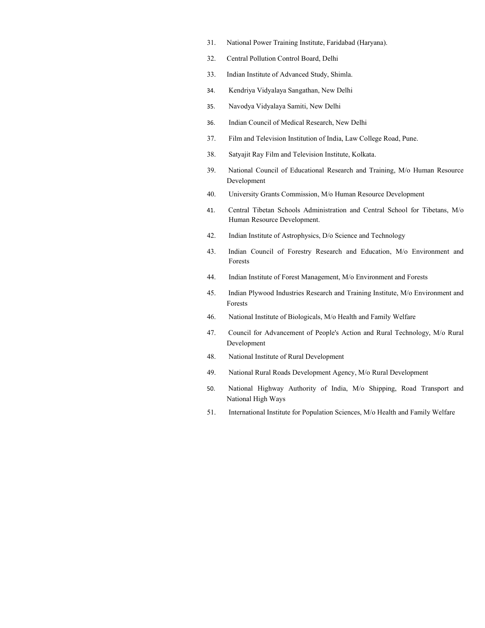- 31. National Power Training Institute, Faridabad (Haryana).
- 32. Central Pollution Control Board, Delhi
- 33. Indian Institute of Advanced Study, Shimla.
- 34. Kendriya Vidyalaya Sangathan, New Delhi
- 35. Navodya Vidyalaya Samiti, New Delhi
- 36. Indian Council of Medical Research, New Delhi
- 37. Film and Television Institution of India, Law College Road, Pune.
- 38. Satyajit Ray Film and Television Institute, Kolkata.
- 39. National Council of Educational Research and Training, M/o Human Resource Development
- 40. University Grants Commission, M/o Human Resource Development
- 41. Central Tibetan Schools Administration and Central School for Tibetans, M/o Human Resource Development.
- 42. Indian Institute of Astrophysics, D/o Science and Technology
- 43. Indian Council of Forestry Research and Education, M/o Environment and Forests
- 44. Indian Institute of Forest Management, M/o Environment and Forests
- 45. Indian Plywood Industries Research and Training Institute, M/o Environment and Forests
- 46. National Institute of Biologicals, M/o Health and Family Welfare
- 47. Council for Advancement of People's Action and Rural Technology, M/o Rural Development
- 48. National Institute of Rural Development
- 49. National Rural Roads Development Agency, M/o Rural Development
- 50. National Highway Authority of India, M/o Shipping, Road Transport and National High Ways
- 51. International Institute for Population Sciences, M/o Health and Family Welfare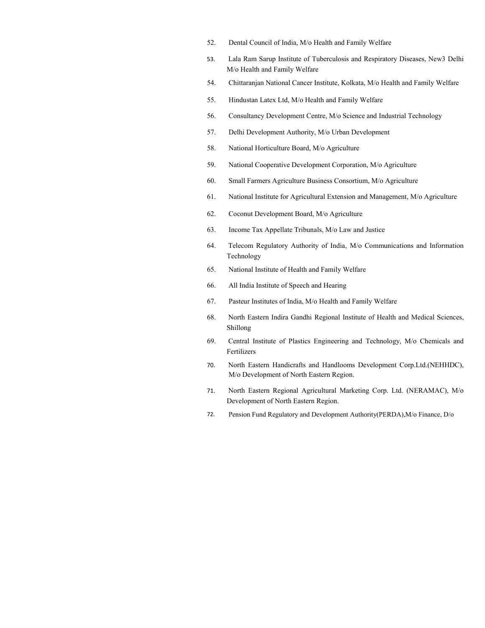- 52. Dental Council of India, M/o Health and Family Welfare
- 53. Lala Ram Sarup Institute of Tuberculosis and Respiratory Diseases, New3 Delhi M/o Health and Family Welfare
- 54. Chittaranjan National Cancer Institute, Kolkata, M/o Health and Family Welfare
- 55. Hindustan Latex Ltd, M/o Health and Family Welfare
- 56. Consultancy Development Centre, M/o Science and Industrial Technology
- 57. Delhi Development Authority, M/o Urban Development
- 58. National Horticulture Board, M/o Agriculture
- 59. National Cooperative Development Corporation, M/o Agriculture
- 60. Small Farmers Agriculture Business Consortium, M/o Agriculture
- 61. National Institute for Agricultural Extension and Management, M/o Agriculture
- 62. Coconut Development Board, M/o Agriculture
- 63. Income Tax Appellate Tribunals, M/o Law and Justice
- 64. Telecom Regulatory Authority of India, M/o Communications and Information Technology
- 65. National Institute of Health and Family Welfare
- 66. All India Institute of Speech and Hearing
- 67. Pasteur Institutes of India, M/o Health and Family Welfare
- 68. North Eastern Indira Gandhi Regional Institute of Health and Medical Sciences, Shillong
- 69. Central Institute of Plastics Engineering and Technology, M/o Chemicals and Fertilizers
- 70. North Eastern Handicrafts and Handlooms Development Corp.Ltd.(NEHHDC), M/o Development of North Eastern Region.
- 71. North Eastern Regional Agricultural Marketing Corp. Ltd. (NERAMAC), M/o Development of North Eastern Region.
- 72. Pension Fund Regulatory and Development Authority(PERDA),M/o Finance, D/o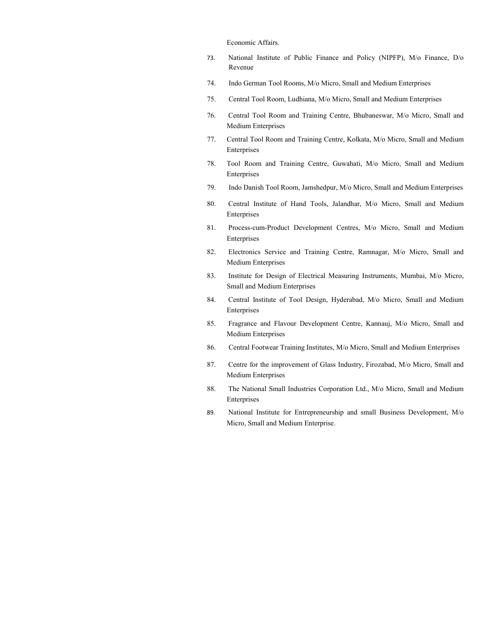Economic Affairs.

- 73. National Institute of Public Finance and Policy (NIPFP), M/o Finance, D/o Revenue
- 74. Indo German Tool Rooms, M/o Micro, Small and Medium Enterprises
- 75. Central Tool Room, Ludhiana, M/o Micro, Small and Medium Enterprises
- 76. Central Tool Room and Training Centre, Bhubaneswar, M/o Micro, Small and Medium Enterprises
- 77. Central Tool Room and Training Centre, Kolkata, M/o Micro, Small and Medium Enterprises
- 78. Tool Room and Training Centre, Guwahati, M/o Micro, Small and Medium Enterprises
- 79. Indo Danish Tool Room, Jamshedpur, M/o Micro, Small and Medium Enterprises
- 80. Central Institute of Hand Tools, Jalandhar, M/o Micro, Small and Medium Enterprises
- 81. Process-cum-Product Development Centres, M/o Micro, Small and Medium Enterprises
- 82. Electronics Service and Training Centre, Ramnagar, M/o Micro, Small and Medium Enterprises
- 83. Institute for Design of Electrical Measuring Instruments, Mumbai, M/o Micro, Small and Medium Enterprises
- 84. Central Institute of Tool Design, Hyderabad, M/o Micro, Small and Medium Enterprises
- 85. Fragrance and Flavour Development Centre, Kannauj, M/o Micro, Small and Medium Enterprises
- 86. Central Footwear Training Institutes, M/o Micro, Small and Medium Enterprises
- 87. Centre for the improvement of Glass Industry, Firozabad, M/o Micro, Small and Medium Enterprises
- 88. The National Small Industries Corporation Ltd., M/o Micro, Small and Medium Enterprises
- 89. National Institute for Entrepreneurship and small Business Development, M/o Micro, Small and Medium Enterprise.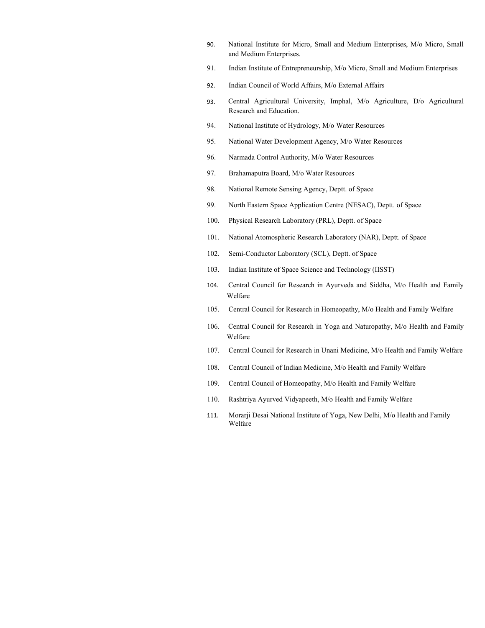- 90. National Institute for Micro, Small and Medium Enterprises, M/o Micro, Small and Medium Enterprises.
- 91. Indian Institute of Entrepreneurship, M/o Micro, Small and Medium Enterprises
- 92. Indian Council of World Affairs, M/o External Affairs
- 93. Central Agricultural University, Imphal, M/o Agriculture, D/o Agricultural Research and Education.
- 94. National Institute of Hydrology, M/o Water Resources
- 95. National Water Development Agency, M/o Water Resources
- 96. Narmada Control Authority, M/o Water Resources
- 97. Brahamaputra Board, M/o Water Resources
- 98. National Remote Sensing Agency, Deptt. of Space
- 99. North Eastern Space Application Centre (NESAC), Deptt. of Space
- 100. Physical Research Laboratory (PRL), Deptt. of Space
- 101. National Atomospheric Research Laboratory (NAR), Deptt. of Space
- 102. Semi-Conductor Laboratory (SCL), Deptt. of Space
- 103. Indian Institute of Space Science and Technology (IISST)
- 104. Central Council for Research in Ayurveda and Siddha, M/o Health and Family Welfare
- 105. Central Council for Research in Homeopathy, M/o Health and Family Welfare
- 106. Central Council for Research in Yoga and Naturopathy, M/o Health and Family Welfare
- 107. Central Council for Research in Unani Medicine, M/o Health and Family Welfare
- 108. Central Council of Indian Medicine, M/o Health and Family Welfare
- 109. Central Council of Homeopathy, M/o Health and Family Welfare
- 110. Rashtriya Ayurved Vidyapeeth, M/o Health and Family Welfare
- 111. Morarji Desai National Institute of Yoga, New Delhi, M/o Health and Family Welfare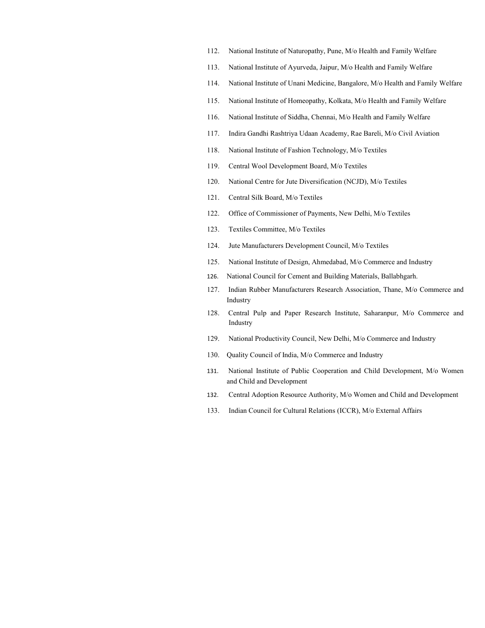- 112. National Institute of Naturopathy, Pune, M/o Health and Family Welfare
- 113. National Institute of Ayurveda, Jaipur, M/o Health and Family Welfare
- 114. National Institute of Unani Medicine, Bangalore, M/o Health and Family Welfare
- 115. National Institute of Homeopathy, Kolkata, M/o Health and Family Welfare
- 116. National Institute of Siddha, Chennai, M/o Health and Family Welfare
- 117. Indira Gandhi Rashtriya Udaan Academy, Rae Bareli, M/o Civil Aviation
- 118. National Institute of Fashion Technology, M/o Textiles
- 119. Central Wool Development Board, M/o Textiles
- 120. National Centre for Jute Diversification (NCJD), M/o Textiles
- 121. Central Silk Board, M/o Textiles
- 122. Office of Commissioner of Payments, New Delhi, M/o Textiles
- 123. Textiles Committee, M/o Textiles
- 124. Jute Manufacturers Development Council, M/o Textiles
- 125. National Institute of Design, Ahmedabad, M/o Commerce and Industry
- 126. National Council for Cement and Building Materials, Ballabhgarh.
- 127. Indian Rubber Manufacturers Research Association, Thane, M/o Commerce and Industry
- 128. Central Pulp and Paper Research Institute, Saharanpur, M/o Commerce and Industry
- 129. National Productivity Council, New Delhi, M/o Commerce and Industry
- 130. Quality Council of India, M/o Commerce and Industry
- 131. National Institute of Public Cooperation and Child Development, M/o Women and Child and Development
- 132. Central Adoption Resource Authority, M/o Women and Child and Development
- 133. Indian Council for Cultural Relations (ICCR), M/o External Affairs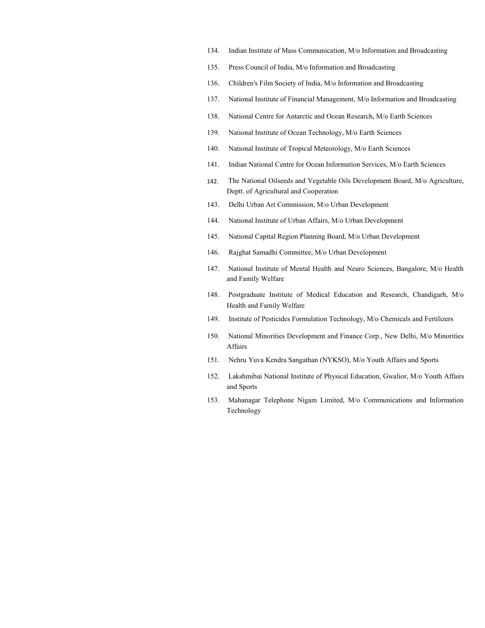- 134. Indian Institute of Mass Communication, M/o Information and Broadcasting
- 135. Press Council of India, M/o Information and Broadcasting
- 136. Children's Film Society of India, M/o Information and Broadcasting
- 137. National Institute of Financial Management, M/o Information and Broadcasting
- 138. National Centre for Antarctic and Ocean Research, M/o Earth Sciences
- 139. National Institute of Ocean Technology, M/o Earth Sciences
- 140. National Institute of Tropical Meteorology, M/o Earth Sciences
- 141. Indian National Centre for Ocean Information Services, M/o Earth Sciences
- 142. The National Oilseeds and Vegetable Oils Development Board, M/o Agriculture, Deptt. of Agricultural and Cooperation
- 143. Delhi Urban Art Commission, M/o Urban Development
- 144. National Institute of Urban Affairs, M/o Urban Development
- 145. National Capital Region Planning Board, M/o Urban Development
- 146. Rajghat Samadhi Committee, M/o Urban Development
- 147. National Institute of Mental Health and Neuro Sciences, Bangalore, M/o Health and Family Welfare
- 148. Postgraduate Institute of Medical Education and Research, Chandigarh, M/o Health and Family Welfare
- 149. Institute of Pesticides Formulation Technology, M/o Chemicals and Fertilizers
- 150. National Minorities Development and Finance Corp., New Delhi, M/o Minorities Affairs
- 151. Nehru Yuva Kendra Sangathan (NYKSO), M/o Youth Affairs and Sports
- 152. Lakshmibai National Institute of Physical Education, Gwalior, M/o Youth Affairs and Sports
- 153. Mahanagar Telephone Nigam Limited, M/o Communications and Information Technology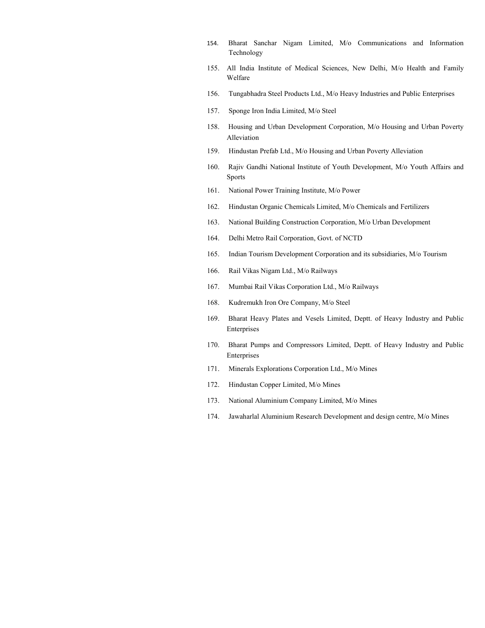- 154. Bharat Sanchar Nigam Limited, M/o Communications and Information Technology
- 155. All India Institute of Medical Sciences, New Delhi, M/o Health and Family Welfare
- 156. Tungabhadra Steel Products Ltd., M/o Heavy Industries and Public Enterprises
- 157. Sponge Iron India Limited, M/o Steel
- 158. Housing and Urban Development Corporation, M/o Housing and Urban Poverty Alleviation
- 159. Hindustan Prefab Ltd., M/o Housing and Urban Poverty Alleviation
- 160. Rajiv Gandhi National Institute of Youth Development, M/o Youth Affairs and Sports
- 161. National Power Training Institute, M/o Power
- 162. Hindustan Organic Chemicals Limited, M/o Chemicals and Fertilizers
- 163. National Building Construction Corporation, M/o Urban Development
- 164. Delhi Metro Rail Corporation, Govt. of NCTD
- 165. Indian Tourism Development Corporation and its subsidiaries, M/o Tourism
- 166. Rail Vikas Nigam Ltd., M/o Railways
- 167. Mumbai Rail Vikas Corporation Ltd., M/o Railways
- 168. Kudremukh Iron Ore Company, M/o Steel
- 169. Bharat Heavy Plates and Vesels Limited, Deptt. of Heavy Industry and Public Enterprises
- 170. Bharat Pumps and Compressors Limited, Deptt. of Heavy Industry and Public Enterprises
- 171. Minerals Explorations Corporation Ltd., M/o Mines
- 172. Hindustan Copper Limited, M/o Mines
- 173. National Aluminium Company Limited, M/o Mines
- 174. Jawaharlal Aluminium Research Development and design centre, M/o Mines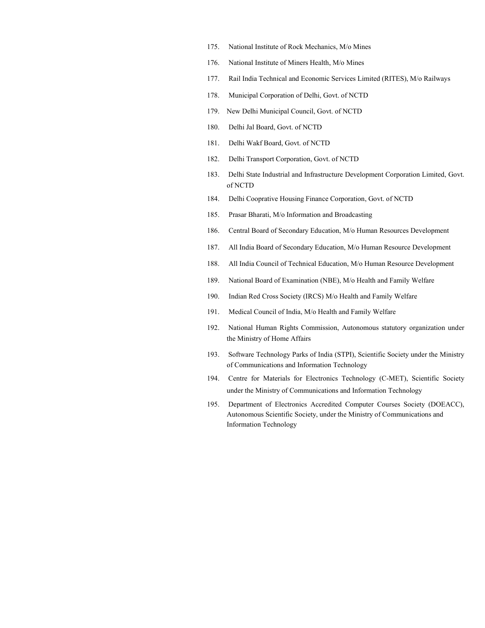- 175. National Institute of Rock Mechanics, M/o Mines
- 176. National Institute of Miners Health, M/o Mines
- 177. Rail India Technical and Economic Services Limited (RITES), M/o Railways
- 178. Municipal Corporation of Delhi, Govt. of NCTD
- 179. New Delhi Municipal Council, Govt. of NCTD
- 180. Delhi Jal Board, Govt. of NCTD
- 181. Delhi Wakf Board, Govt. of NCTD
- 182. Delhi Transport Corporation, Govt. of NCTD
- 183. Delhi State Industrial and Infrastructure Development Corporation Limited, Govt. of NCTD
- 184. Delhi Cooprative Housing Finance Corporation, Govt. of NCTD
- 185. Prasar Bharati, M/o Information and Broadcasting
- 186. Central Board of Secondary Education, M/o Human Resources Development
- 187. All India Board of Secondary Education, M/o Human Resource Development
- 188. All India Council of Technical Education, M/o Human Resource Development
- 189. National Board of Examination (NBE), M/o Health and Family Welfare
- 190. Indian Red Cross Society (IRCS) M/o Health and Family Welfare
- 191. Medical Council of India, M/o Health and Family Welfare
- 192. National Human Rights Commission, Autonomous statutory organization under the Ministry of Home Affairs
- 193. Software Technology Parks of India (STPI), Scientific Society under the Ministry of Communications and Information Technology
- 194. Centre for Materials for Electronics Technology (C-MET), Scientific Society under the Ministry of Communications and Information Technology
- 195. Department of Electronics Accredited Computer Courses Society (DOEACC), Autonomous Scientific Society, under the Ministry of Communications and Information Technology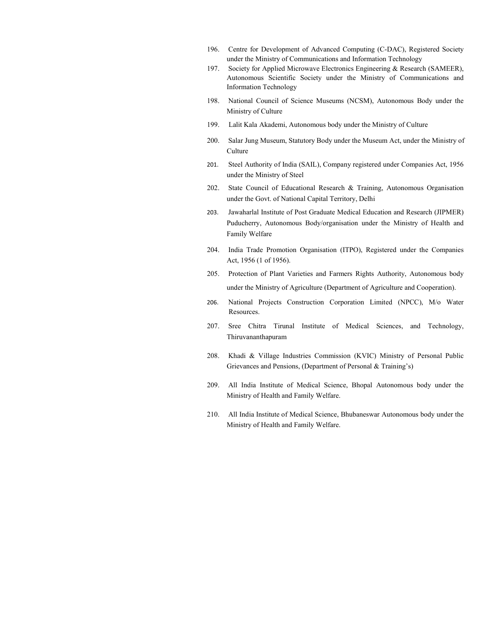- 196. Centre for Development of Advanced Computing (C-DAC), Registered Society under the Ministry of Communications and Information Technology
- 197. Society for Applied Microwave Electronics Engineering & Research (SAMEER), Autonomous Scientific Society under the Ministry of Communications and Information Technology
- 198. National Council of Science Museums (NCSM), Autonomous Body under the Ministry of Culture
- 199. Lalit Kala Akademi, Autonomous body under the Ministry of Culture
- 200. Salar Jung Museum, Statutory Body under the Museum Act, under the Ministry of **Culture**
- 201. Steel Authority of India (SAIL), Company registered under Companies Act, 1956 under the Ministry of Steel
- 202. State Council of Educational Research & Training, Autonomous Organisation under the Govt. of National Capital Territory, Delhi
- 203. Jawaharlal Institute of Post Graduate Medical Education and Research (JIPMER) Puducherry, Autonomous Body/organisation under the Ministry of Health and Family Welfare
- 204. India Trade Promotion Organisation (ITPO), Registered under the Companies Act, 1956 (1 of 1956).
- 205. Protection of Plant Varieties and Farmers Rights Authority, Autonomous body under the Ministry of Agriculture (Department of Agriculture and Cooperation).
- 206. National Projects Construction Corporation Limited (NPCC), M/o Water Resources.
- 207. Sree Chitra Tirunal Institute of Medical Sciences, and Technology, Thiruvananthapuram
- 208. Khadi & Village Industries Commission (KVIC) Ministry of Personal Public Grievances and Pensions, (Department of Personal & Training's)
- 209. All India Institute of Medical Science, Bhopal Autonomous body under the Ministry of Health and Family Welfare.
- 210. All India Institute of Medical Science, Bhubaneswar Autonomous body under the Ministry of Health and Family Welfare.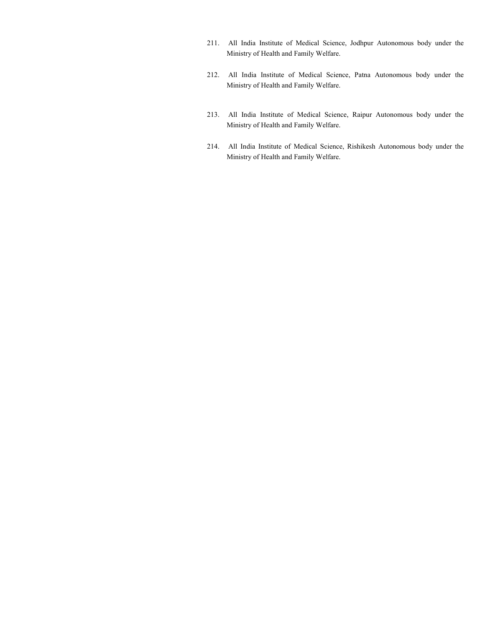- 211. All India Institute of Medical Science, Jodhpur Autonomous body under the Ministry of Health and Family Welfare.
- 212. All India Institute of Medical Science, Patna Autonomous body under the Ministry of Health and Family Welfare.
- 213. All India Institute of Medical Science, Raipur Autonomous body under the Ministry of Health and Family Welfare.
- 214. All India Institute of Medical Science, Rishikesh Autonomous body under the Ministry of Health and Family Welfare.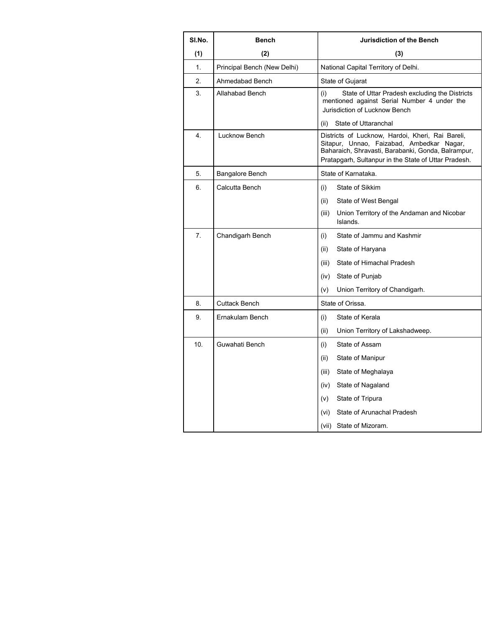| SI.No. | <b>Bench</b>                | <b>Jurisdiction of the Bench</b>                                                                                                                                                                            |
|--------|-----------------------------|-------------------------------------------------------------------------------------------------------------------------------------------------------------------------------------------------------------|
| (1)    | (2)                         | (3)                                                                                                                                                                                                         |
| 1.     | Principal Bench (New Delhi) | National Capital Territory of Delhi.                                                                                                                                                                        |
| 2.     | Ahmedabad Bench             | State of Gujarat                                                                                                                                                                                            |
| 3.     | Allahabad Bench             | State of Uttar Pradesh excluding the Districts<br>(i)<br>mentioned against Serial Number 4 under the<br>Jurisdiction of Lucknow Bench                                                                       |
|        |                             | State of Uttaranchal<br>(ii)                                                                                                                                                                                |
| 4.     | Lucknow Bench               | Districts of Lucknow, Hardoi, Kheri, Rai Bareli,<br>Sitapur, Unnao, Faizabad, Ambedkar Nagar,<br>Baharaich, Shravasti, Barabanki, Gonda, Balrampur,<br>Pratapgarh, Sultanpur in the State of Uttar Pradesh. |
| 5.     | Bangalore Bench             | State of Karnataka.                                                                                                                                                                                         |
| 6.     | Calcutta Bench              | State of Sikkim<br>(i)                                                                                                                                                                                      |
|        |                             | (ii)<br>State of West Bengal                                                                                                                                                                                |
|        |                             | (iii)<br>Union Territory of the Andaman and Nicobar<br>Islands.                                                                                                                                             |
| 7.     | Chandigarh Bench            | State of Jammu and Kashmir<br>(i)                                                                                                                                                                           |
|        |                             | (ii)<br>State of Haryana                                                                                                                                                                                    |
|        |                             | (iii)<br>State of Himachal Pradesh                                                                                                                                                                          |
|        |                             | (iv)<br>State of Punjab                                                                                                                                                                                     |
|        |                             | (v)<br>Union Territory of Chandigarh.                                                                                                                                                                       |
| 8.     | <b>Cuttack Bench</b>        | State of Orissa.                                                                                                                                                                                            |
| 9.     | Ernakulam Bench             | State of Kerala<br>(i)                                                                                                                                                                                      |
|        |                             | Union Territory of Lakshadweep.<br>(ii)                                                                                                                                                                     |
| 10.    | Guwahati Bench              | State of Assam<br>(i)                                                                                                                                                                                       |
|        |                             | (ii)<br>State of Manipur                                                                                                                                                                                    |
|        |                             | (iii)<br>State of Meghalaya                                                                                                                                                                                 |
|        |                             | (iv)<br>State of Nagaland                                                                                                                                                                                   |
|        |                             | State of Tripura<br>(v)                                                                                                                                                                                     |
|        |                             | State of Arunachal Pradesh<br>(vi)                                                                                                                                                                          |
|        |                             | (vii) State of Mizoram.                                                                                                                                                                                     |